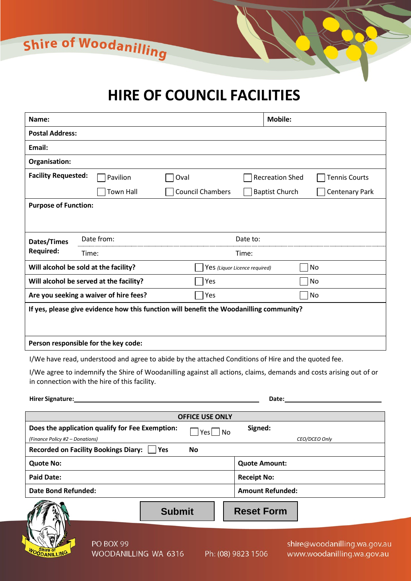Shire of Woodanilling

# **HIRE OF COUNCIL FACILITIES**

| Name:                                                                                                                                                               |                  |                               | <b>Mobile:</b>                                 |  |  |  |  |
|---------------------------------------------------------------------------------------------------------------------------------------------------------------------|------------------|-------------------------------|------------------------------------------------|--|--|--|--|
| <b>Postal Address:</b>                                                                                                                                              |                  |                               |                                                |  |  |  |  |
| Email:                                                                                                                                                              |                  |                               |                                                |  |  |  |  |
| Organisation:                                                                                                                                                       |                  |                               |                                                |  |  |  |  |
| <b>Facility Requested:</b>                                                                                                                                          | Pavilion         | Oval                          | <b>Recreation Shed</b><br><b>Tennis Courts</b> |  |  |  |  |
|                                                                                                                                                                     | <b>Town Hall</b> | <b>Council Chambers</b>       | <b>Baptist Church</b><br><b>Centenary Park</b> |  |  |  |  |
| <b>Purpose of Function:</b>                                                                                                                                         |                  |                               |                                                |  |  |  |  |
|                                                                                                                                                                     |                  |                               |                                                |  |  |  |  |
| Dates/Times                                                                                                                                                         | Date from:       | Date to:                      |                                                |  |  |  |  |
| <b>Required:</b>                                                                                                                                                    | Time:            | Time:                         |                                                |  |  |  |  |
| Will alcohol be sold at the facility?                                                                                                                               |                  | Yes (Liquor Licence required) | No                                             |  |  |  |  |
| Will alcohol be served at the facility?                                                                                                                             |                  | Yes                           | No                                             |  |  |  |  |
| Are you seeking a waiver of hire fees?                                                                                                                              |                  | Yes                           | No                                             |  |  |  |  |
| If yes, please give evidence how this function will benefit the Woodanilling community?                                                                             |                  |                               |                                                |  |  |  |  |
|                                                                                                                                                                     |                  |                               |                                                |  |  |  |  |
| Person responsible for the key code:                                                                                                                                |                  |                               |                                                |  |  |  |  |
| I/We have read, understood and agree to abide by the attached Conditions of Hire and the quoted fee.                                                                |                  |                               |                                                |  |  |  |  |
| I/We agree to indemnify the Shire of Woodanilling against all actions, claims, demands and costs arising out of or<br>in connection with the hire of this facility. |                  |                               |                                                |  |  |  |  |
| Hirer Signature:                                                                                                                                                    |                  |                               | Date:                                          |  |  |  |  |

| <b>OFFICE USE ONLY</b>                                                             |                                                                                 |  |  |  |  |  |  |
|------------------------------------------------------------------------------------|---------------------------------------------------------------------------------|--|--|--|--|--|--|
| Does the application qualify for Fee Exemption:<br>(Finance Policy #2 – Donations) | Signed:<br>$Yes \mid No$<br>CEO/DCEO Only                                       |  |  |  |  |  |  |
| <b>Recorded on Facility Bookings Diary:</b><br> Yes<br><b>No</b>                   |                                                                                 |  |  |  |  |  |  |
| <b>Quote No:</b>                                                                   | <b>Quote Amount:</b>                                                            |  |  |  |  |  |  |
| <b>Paid Date:</b>                                                                  | <b>Receipt No:</b>                                                              |  |  |  |  |  |  |
| <b>Date Bond Refunded:</b>                                                         | <b>Amount Refunded:</b>                                                         |  |  |  |  |  |  |
| <b>Submit</b>                                                                      | <b>Reset Form</b>                                                               |  |  |  |  |  |  |
| PO BOX 99<br>WOODANILLING<br>WOODANILLING WA 6316                                  | shire@woodanilling.wa.gov.a<br>Ph: (08) 9823 1506<br>www.woodanilling.wa.gov.ar |  |  |  |  |  |  |

ū